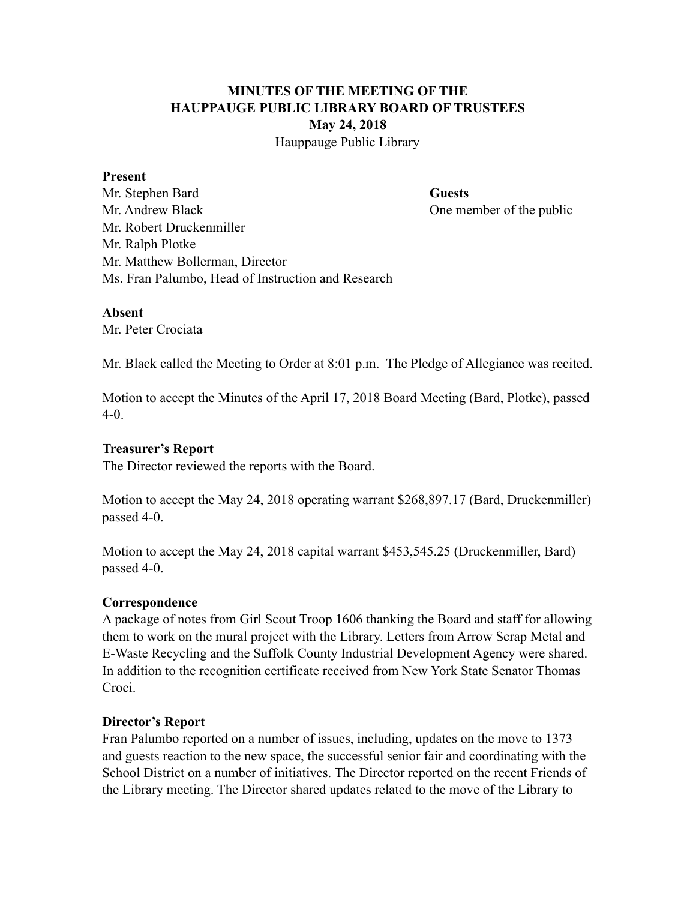# **MINUTES OF THE MEETING OF THE HAUPPAUGE PUBLIC LIBRARY BOARD OF TRUSTEES May 24, 2018**

Hauppauge Public Library

#### **Present**

Mr. Stephen Bard **Guests** Mr. Andrew Black One member of the public Mr. Robert Druckenmiller Mr. Ralph Plotke Mr. Matthew Bollerman, Director Ms. Fran Palumbo, Head of Instruction and Research

#### **Absent**

Mr. Peter Crociata

Mr. Black called the Meeting to Order at 8:01 p.m. The Pledge of Allegiance was recited.

Motion to accept the Minutes of the April 17, 2018 Board Meeting (Bard, Plotke), passed 4-0.

#### **Treasurer's Report**

The Director reviewed the reports with the Board.

Motion to accept the May 24, 2018 operating warrant \$268,897.17 (Bard, Druckenmiller) passed 4-0.

Motion to accept the May 24, 2018 capital warrant \$453,545.25 (Druckenmiller, Bard) passed 4-0.

# **Correspondence**

A package of notes from Girl Scout Troop 1606 thanking the Board and staff for allowing them to work on the mural project with the Library. Letters from Arrow Scrap Metal and E-Waste Recycling and the Suffolk County Industrial Development Agency were shared. In addition to the recognition certificate received from New York State Senator Thomas Croci.

# **Director's Report**

Fran Palumbo reported on a number of issues, including, updates on the move to 1373 and guests reaction to the new space, the successful senior fair and coordinating with the School District on a number of initiatives. The Director reported on the recent Friends of the Library meeting. The Director shared updates related to the move of the Library to